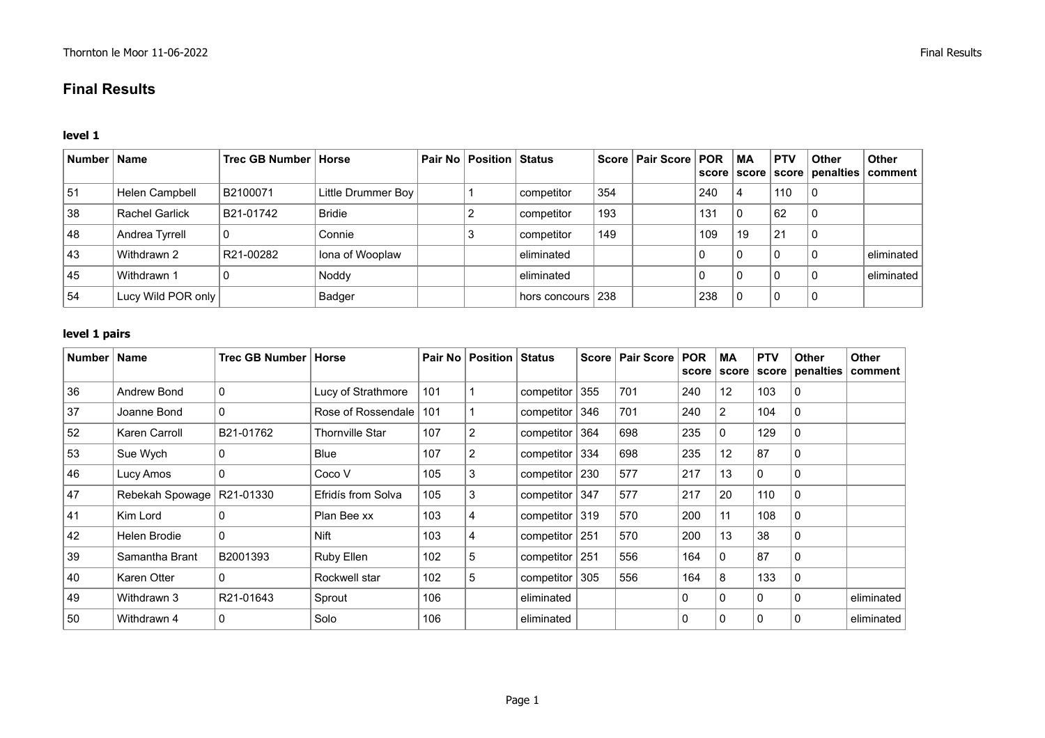# **Final Results**

## **level 1**

| Number   Name |                       | Trec GB Number   Horse |                    | <b>Pair No Position Status</b> |                     |     | Score   Pair Score   POR |     | <b>MA</b> | <b>PTV</b> | ∣ Other | <b>Other</b><br>score   score   score   penalties   comment |
|---------------|-----------------------|------------------------|--------------------|--------------------------------|---------------------|-----|--------------------------|-----|-----------|------------|---------|-------------------------------------------------------------|
| 51            | <b>Helen Campbell</b> | B2100071               | Little Drummer Boy |                                | competitor          | 354 |                          | 240 | 4         | 110        | C       |                                                             |
| 38            | <b>Rachel Garlick</b> | B21-01742              | <b>Bridie</b>      |                                | competitor          | 193 |                          | 131 | $\Omega$  | 62         | 0       |                                                             |
| 48            | Andrea Tyrrell        |                        | Connie             |                                | competitor          | 149 |                          | 109 | 19        | 21         | C       |                                                             |
| 43            | Withdrawn 2           | R21-00282              | Iona of Wooplaw    |                                | eliminated          |     |                          |     | 0         |            | C       | eliminated                                                  |
| 45            | Withdrawn 1           |                        | Noddy              |                                | eliminated          |     |                          |     | 0         |            | C       | eliminated                                                  |
| 54            | Lucy Wild POR only    |                        | Badger             |                                | hors concours $238$ |     |                          | 238 | $\Omega$  | 0          | C       |                                                             |

## **level 1 pairs**

| Number   Name |                             | Trec GB Number   Horse |                        |     | <b>Pair No   Position   Status</b> |                    | <b>Score</b> | <b>Pair Score</b> | <b>POR</b><br>score | <b>MA</b><br>score | <b>PTV</b><br>score | <b>Other</b> | <b>Other</b><br>penalties   comment |
|---------------|-----------------------------|------------------------|------------------------|-----|------------------------------------|--------------------|--------------|-------------------|---------------------|--------------------|---------------------|--------------|-------------------------------------|
| 36            | Andrew Bond                 | $\mathbf 0$            | Lucy of Strathmore     | 101 |                                    | competitor         | 355          | 701               | 240                 | 12                 | 103                 | $\Omega$     |                                     |
| 37            | Joanne Bond                 | $\mathbf 0$            | Rose of Rossendale     | 101 |                                    | competitor         | 346          | 701               | 240                 | 2                  | 104                 | 0            |                                     |
| 52            | Karen Carroll               | B21-01762              | <b>Thornville Star</b> | 107 | $\overline{2}$                     | competitor         | 364          | 698               | 235                 | $\Omega$           | 129                 | $\mathbf{0}$ |                                     |
| 53            | Sue Wych                    | $\mathbf{0}$           | Blue                   | 107 | $\overline{2}$                     | competitor         | 334          | 698               | 235                 | 12                 | 87                  | $\mathbf{0}$ |                                     |
| 46            | Lucy Amos                   | $\mathbf 0$            | Coco V                 | 105 | 3                                  | competitor $ 230 $ |              | 577               | 217                 | 13                 | 0                   | 0            |                                     |
| 47            | Rebekah Spowage   R21-01330 |                        | Efridís from Solva     | 105 | 3                                  | competitor 347     |              | 577               | 217                 | 20                 | 110                 | $\mathbf{0}$ |                                     |
| 41            | Kim Lord                    | $\Omega$               | Plan Bee xx            | 103 | 4                                  | competitor 319     |              | 570               | 200                 | 11                 | 108                 | $\Omega$     |                                     |
| 42            | Helen Brodie                | $\Omega$               | <b>Nift</b>            | 103 | 4                                  | competitor         | 251          | 570               | 200                 | 13                 | 38                  | $\Omega$     |                                     |
| 39            | Samantha Brant              | B2001393               | Ruby Ellen             | 102 | 5                                  | competitor   251   |              | 556               | 164                 | $\mathbf{0}$       | 87                  | 0            |                                     |
| 40            | Karen Otter                 | $\mathbf{0}$           | Rockwell star          | 102 | 5                                  | competitor         | 305          | 556               | 164                 | 8                  | 133                 | 0            |                                     |
| 49            | Withdrawn 3                 | R21-01643              | Sprout                 | 106 |                                    | eliminated         |              |                   | $\mathbf{0}$        | 0                  | $\mathbf{0}$        | $\Omega$     | eliminated                          |
| 50            | Withdrawn 4                 | $\Omega$               | Solo                   | 106 |                                    | eliminated         |              |                   | $\mathbf{0}$        | $\Omega$           | $\mathbf{0}$        | 0            | eliminated                          |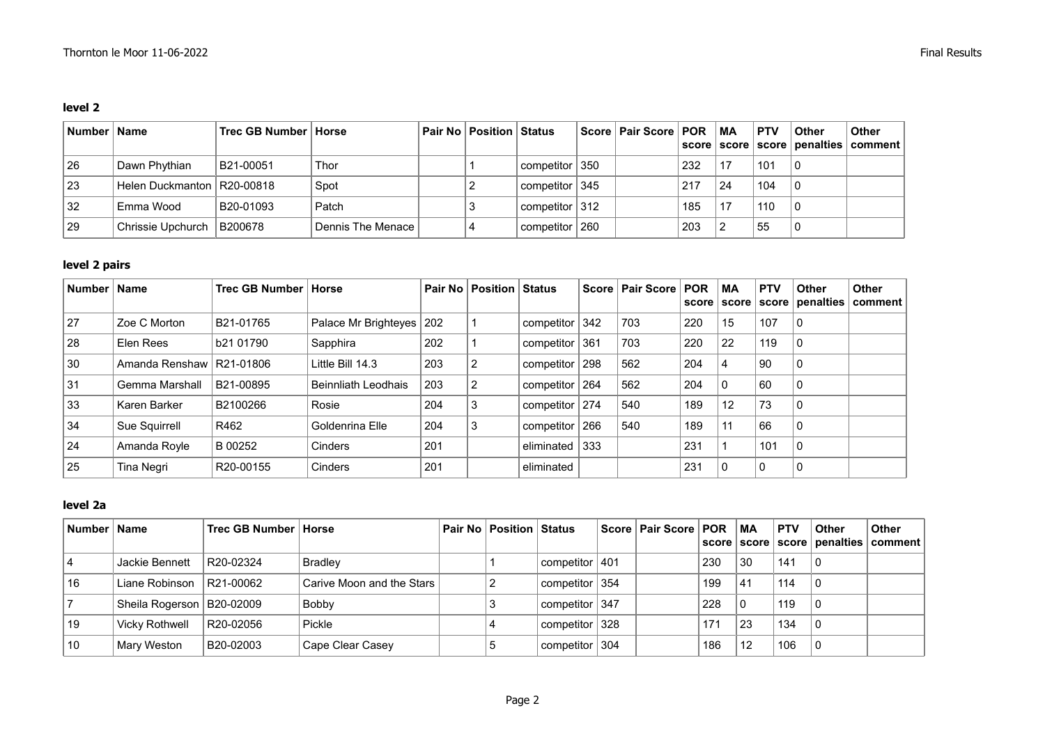## **level 2**

| Number   Name |                              | Trec GB Number   Horse |                   | ∣ Pair No │ Position │ Status |                    | Score   Pair Score   POR |     | ∣MA          | <b>PTV</b> | Other | <b>Other</b><br>score   score   score   penalties   comment |
|---------------|------------------------------|------------------------|-------------------|-------------------------------|--------------------|--------------------------|-----|--------------|------------|-------|-------------------------------------------------------------|
| 26            | Dawn Phythian                | B21-00051              | Thor              |                               | competitor $ 350 $ |                          | 232 | 17           | 101        |       |                                                             |
| 23            | Helen Duckmanton   R20-00818 |                        | Spot              |                               | competitor $ 345 $ |                          | 217 | $^{\circ}24$ | 104        |       |                                                             |
| 32            | Emma Wood                    | B20-01093              | Patch             |                               | competitor $ 312 $ |                          | 185 | 17           | 110        |       |                                                             |
| 29            | Chrissie Upchurch   B200678  |                        | Dennis The Menace |                               | competitor ∣ 260   |                          | 203 | ົ            | 55         |       |                                                             |

# **level 2 pairs**

| Number   Name |                            | Trec GB Number   Horse |                            |     | Pair No   Position   Status |                    |     | Score   Pair Score   POR |     | МA | <b>PTV</b> | <b>Other</b> | Other<br>score   score   score   penalties   comment |
|---------------|----------------------------|------------------------|----------------------------|-----|-----------------------------|--------------------|-----|--------------------------|-----|----|------------|--------------|------------------------------------------------------|
| 27            | Zoe C Morton               | B21-01765              | Palace Mr Brighteyes   202 |     |                             | competitor $ 342 $ |     | 703                      | 220 | 15 | 107        | 0            |                                                      |
| 28            | Elen Rees                  | b21 01790              | Sapphira                   | 202 |                             | competitor 361     |     | 703                      | 220 | 22 | 119        | 0            |                                                      |
| 30            | Amanda Renshaw   R21-01806 |                        | Little Bill 14.3           | 203 | -2                          | competitor   298   |     | 562                      | 204 | 4  | 90         | 0            |                                                      |
| 31            | Gemma Marshall             | B21-00895              | <b>Beinnliath Leodhais</b> | 203 | $\overline{2}$              | competitor   264   |     | 562                      | 204 | 0  | 60         | 0            |                                                      |
| 33            | Karen Barker               | B2100266               | Rosie                      | 204 | 3                           | competitor   274   |     | 540                      | 189 | 12 | 73         | 0            |                                                      |
| 34            | Sue Squirrell              | R462                   | Goldenrina Elle            | 204 | 3                           | competitor $ 266$  |     | 540                      | 189 | 11 | 66         | 0            |                                                      |
| 24            | Amanda Royle               | B 00252                | <b>Cinders</b>             | 201 |                             | eliminated         | 333 |                          | 231 |    | 101        | 0            |                                                      |
| 25            | <b>Tina Neari</b>          | R <sub>20</sub> -00155 | Cinders                    | 201 |                             | eliminated         |     |                          | 231 | 0  | $\Omega$   | 0            |                                                      |

# **level 2a**

| Number   Name |                             | Trec GB Number   Horse |                           | Pair No   Position   Status |                | Score   Pair Score   POR   MA |     |              | <b>PTV</b> | Other    | <b>Other</b><br>score   score   score   penalties   comment |
|---------------|-----------------------------|------------------------|---------------------------|-----------------------------|----------------|-------------------------------|-----|--------------|------------|----------|-------------------------------------------------------------|
|               | Jackie Bennett              | R20-02324              | <b>Bradley</b>            |                             | competitor 401 |                               | 230 | 30           | 141        | l 0      |                                                             |
| 16            | Liane Robinson              | R21-00062              | Carive Moon and the Stars |                             | competitor 354 |                               | 199 | 41           | 114        | ∣0       |                                                             |
|               | Sheila Rogerson   B20-02009 |                        | Bobby                     |                             | competitor 347 |                               | 228 | $\mathbf{0}$ | 119        | $\Omega$ |                                                             |
| 19            | Vicky Rothwell              | R20-02056              | Pickle                    |                             | competitor 328 |                               | 171 | 23           | 134        | ∣∩       |                                                             |
| 10            | Mary Weston                 | B20-02003              | Cape Clear Casey          |                             | competitor 304 |                               | 186 | 12           | 106        | l 0      |                                                             |